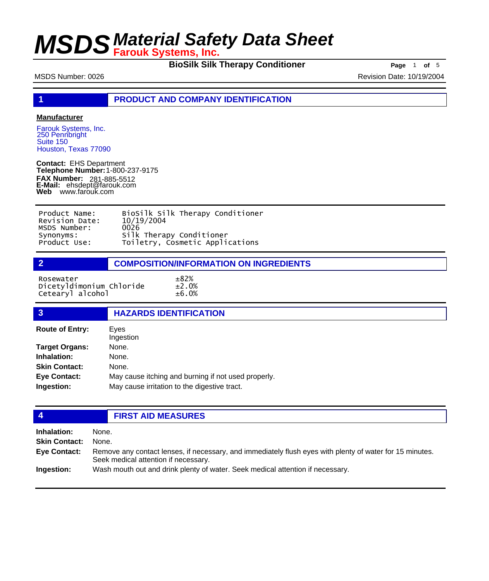**BioSilk Silk Therapy Conditioner Page** 1 of 5

MSDS Number: 0026 Revision Date: 10/19/2004

**1 PRODUCT AND COMPANY IDENTIFICATION**

### **Manufacturer**

Farouk Systems, Inc. 250 Pennbright Suite 150 Houston, Texas 77090

**Contact:** EHS Department **Telephone Number:** 1-800-237-9175 **FAX Number: FAX Number:** 281-885-5512<br>**E-Mail:** ehsdept@farouk.com **Web** www.farouk.com

| Product Name:  | BioSilk Silk Therapy Conditioner |
|----------------|----------------------------------|
| Revision Date: | 10/19/2004                       |
| MSDS Number:   | 0026                             |
| Synonyms:      | Silk Therapy Conditioner         |
| Product Use:   | Toiletry, Cosmetic Applications  |

| <b>COMPOSITION/INFORMATION ON INGREDIENTS</b> |
|-----------------------------------------------|
|                                               |

Rosewater  $\pm 82\%$ Dicetyldimonium Chloride ±2.0% Cetearyl alcohol ±6.0%

| $\overline{3}$         | <b>HAZARDS IDENTIFICATION</b>                       |  |  |
|------------------------|-----------------------------------------------------|--|--|
|                        |                                                     |  |  |
| <b>Route of Entry:</b> | Eyes                                                |  |  |
|                        | Ingestion                                           |  |  |
| <b>Target Organs:</b>  | None.                                               |  |  |
| Inhalation:            | None.                                               |  |  |
| <b>Skin Contact:</b>   | None.                                               |  |  |
| <b>Eye Contact:</b>    | May cause itching and burning if not used properly. |  |  |
| Ingestion:             | May cause irritation to the digestive tract.        |  |  |
|                        |                                                     |  |  |

## **4 FIRST AID MEASURES**

| Inhalation:          | None.                                                                                                                                            |
|----------------------|--------------------------------------------------------------------------------------------------------------------------------------------------|
| <b>Skin Contact:</b> | None.                                                                                                                                            |
| <b>Eve Contact:</b>  | Remove any contact lenses, if necessary, and immediately flush eyes with plenty of water for 15 minutes.<br>Seek medical attention if necessary. |
| Ingestion:           | Wash mouth out and drink plenty of water. Seek medical attention if necessary.                                                                   |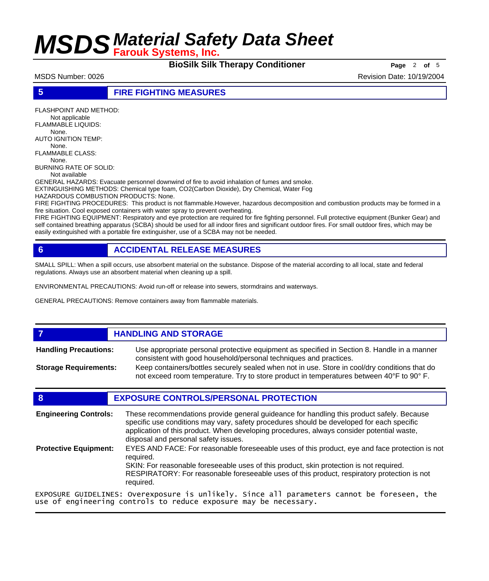**BioSilk Silk Therapy Conditioner Page** 2 of 5

MSDS Number: 0026 **Revision Date: 10/19/2004** Revision Date: 10/19/2004

**5 FIRE FIGHTING MEASURES**

FLASHPOINT AND METHOD: Not applicable FLAMMABLE LIQUIDS: None. AUTO IGNITION TEMP: None. FLAMMABLE CLASS: None. BURNING RATE OF SOLID: Not available GENERAL HAZARDS: Evacuate personnel downwind of fire to avoid inhalation of fumes and smoke. EXTINGUISHING METHODS: Chemical type foam, CO2(Carbon Dioxide), Dry Chemical, Water Fog HAZARDOUS COMBUSTION PRODUCTS: None. FIRE FIGHTING PROCEDURES: This product is not flammable.However, hazardous decomposition and combustion products may be formed in a

fire situation. Cool exposed containers with water spray to prevent overheating. FIRE FIGHTING EQUIPMENT: Respiratory and eye protection are required for fire fighting personnel. Full protective equipment (Bunker Gear) and self contained breathing apparatus (SCBA) should be used for all indoor fires and significant outdoor fires. For small outdoor fires, which may be easily extinguished with a portable fire extinguisher, use of a SCBA may not be needed.

## **6 ACCIDENTAL RELEASE MEASURES**

SMALL SPILL: When a spill occurs, use absorbent material on the substance. Dispose of the material according to all local, state and federal regulations. Always use an absorbent material when cleaning up a spill.

ENVIRONMENTAL PRECAUTIONS: Avoid run-off or release into sewers, stormdrains and waterways.

use of engineering controls to reduce exposure may be necessary.

GENERAL PRECAUTIONS: Remove containers away from flammable materials.

## *HANDLING AND STORAGE*

Use appropriate personal protective equipment as specified in Section 8. Handle in a manner consistent with good household/personal techniques and practices. **Handling Precautions:** Keep containers/bottles securely sealed when not in use. Store in cool/dry conditions that do **Storage Requirements:**

not exceed room temperature. Try to store product in temperatures between 40°F to 90° F.

## **8 EXPOSURE CONTROLS/PERSONAL PROTECTION**

These recommendations provide general guideance for handling this product safely. Because specific use conditions may vary, safety procedures should be developed for each specific application of this product. When developing procedures, always consider potential waste, disposal and personal safety issues. **Engineering Controls:** EYES AND FACE: For reasonable foreseeable uses of this product, eye and face protection is not required. SKIN: For reasonable foreseeable uses of this product, skin protection is not required. RESPIRATORY: For reasonable foreseeable uses of this product, respiratory protection is not required. **Protective Equipment:** EXPOSURE GUIDELINES: Overexposure is unlikely. Since all parameters cannot be foreseen, the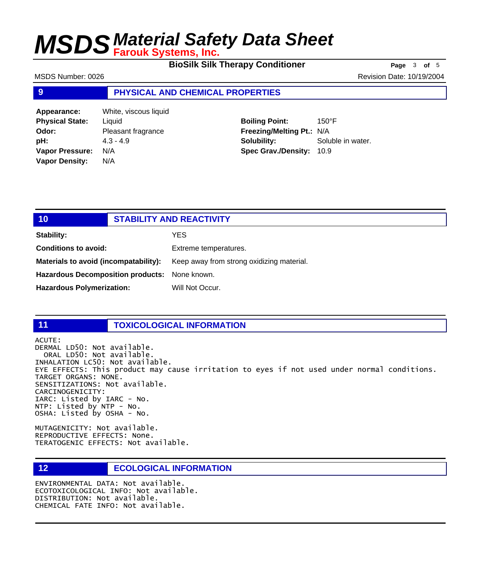**BioSilk Silk Therapy Conditioner** Page 3 of 5

MSDS Number: 0026 **Revision Date: 10/19/2004** Revision Date: 10/19/2004

### **9 PHYSICAL AND CHEMICAL PROPERTIES**

**Appearance:** White, viscous liquid **Physical State:** Liquid **Odor:** Pleasant fragrance **pH:**  $4.3 - 4.9$ **Vapor Pressure:** N/A **Vapor Density:** N/A

**Boiling Point:** 150°F **Freezing/Melting Pt.:** N/A **Solubility:** Soluble in water. **Spec Grav./Density:** 10.9

| 10                                            | <b>STABILITY AND REACTIVITY</b> |                                           |
|-----------------------------------------------|---------------------------------|-------------------------------------------|
| Stability:                                    |                                 | <b>YES</b>                                |
| <b>Conditions to avoid:</b>                   |                                 | Extreme temperatures.                     |
| Materials to avoid (incompatability):         |                                 | Keep away from strong oxidizing material. |
| Hazardous Decomposition products: None known. |                                 |                                           |
| <b>Hazardous Polymerization:</b>              |                                 | Will Not Occur.                           |

### **11 TOXICOLOGICAL INFORMATION**

ACUTE: DERMAL LD50: Not available. ORAL LD50: Not available. INHALATION LC50: Not available. EYE EFFECTS: This product may cause irritation to eyes if not used under normal conditions. TARGET ORGANS: NONE. SENSITIZATIONS: Not available. CARCINOGENICITY: IARC: Listed by IARC - No. NTP: Listed by NTP - No. OSHA: Listed by OSHA - No.

MUTAGENICITY: Not available. REPRODUCTIVE EFFECTS: None. TERATOGENIC EFFECTS: Not available.

## **12 ECOLOGICAL INFORMATION**

ENVIRONMENTAL DATA: Not available. ECOTOXICOLOGICAL INFO: Not available. DISTRIBUTION: Not available. CHEMICAL FATE INFO: Not available.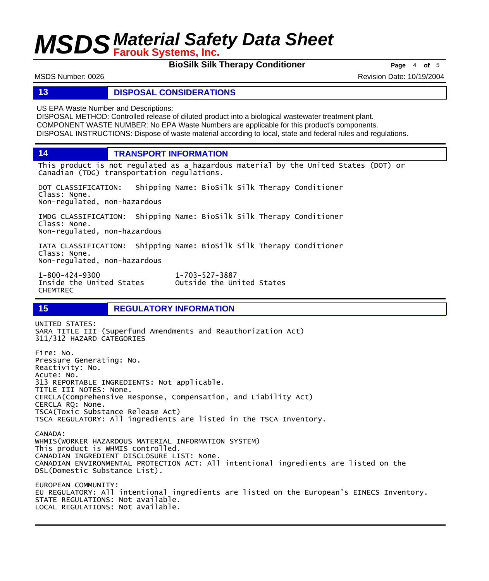**BioSilk Silk Therapy Conditioner Page** 4 of 5

MSDS Number: 0026 **Revision Date: 10/19/2004** Revision Date: 10/19/2004

### **13 DISPOSAL CONSIDERATIONS**

US EPA Waste Number and Descriptions:

DISPOSAL METHOD: Controlled release of diluted product into a biological wastewater treatment plant. COMPONENT WASTE NUMBER: No EPA Waste Numbers are applicable for this product's components. DISPOSAL INSTRUCTIONS: Dispose of waste material according to local, state and federal rules and regulations.

**14 TRANSPORT INFORMATION**

This product is not regulated as a hazardous material by the United States (DOT) or Canadian (TDG) transportation regulations.

DOT CLASSIFICATION: Shipping Name: BioSilk Silk Therapy Conditioner Class: None. Non-regulated, non-hazardous

IMDG CLASSIFICATION: Shipping Name: BioSilk Silk Therapy Conditioner Class: None. Non-regulated, non-hazardous

IATA CLASSIFICATION: Shipping Name: BioSilk Silk Therapy Conditioner Class: None. Non-regulated, non-hazardous

1-800-424-9300 1-703-527-3887 CHEMTREC

Outside the United States

## **15 REGULATORY INFORMATION**

UNITED STATES: SARA TITLE III (Superfund Amendments and Reauthorization Act) 311/312 HAZARD CATEGORIES Fire: No. Pressure Generating: No. Reactivity: No. Acute: No. 313 REPORTABLE INGREDIENTS: Not applicable. TITLE III NOTES: None. CERCLA(Comprehensive Response, Compensation, and Liability Act) CERCLA RQ: None. TSCA(Toxic Substance Release Act) TSCA REGULATORY: All ingredients are listed in the TSCA Inventory. CANADA: WHMIS(WORKER HAZARDOUS MATERIAL INFORMATION SYSTEM) This product is WHMIS controlled. CANADIAN INGREDIENT DISCLOSURE LIST: None. CANADIAN ENVIRONMENTAL PROTECTION ACT: All intentional ingredients are listed on the DSL(Domestic Substance List). EUROPEAN COMMUNITY: EU REGULATORY: All intentional ingredients are listed on the European's EINECS Inventory. STATE REGULATIONS: Not available. LOCAL REGULATIONS: Not available.